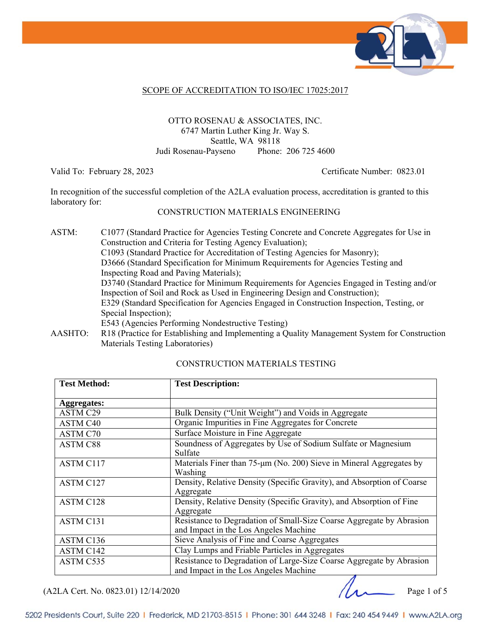

#### SCOPE OF ACCREDITATION TO ISO/IEC 17025:2017

#### OTTO ROSENAU & ASSOCIATES, INC. 6747 Martin Luther King Jr. Way S. Seattle, WA 98118 Judi Rosenau-Payseno Phone: 206 725 4600

Valid To: February 28, 2023 Certificate Number: 0823.01

In recognition of the successful completion of the A2LA evaluation process, accreditation is granted to this laboratory for:

#### CONSTRUCTION MATERIALS ENGINEERING

- ASTM: C1077 (Standard Practice for Agencies Testing Concrete and Concrete Aggregates for Use in Construction and Criteria for Testing Agency Evaluation); C1093 (Standard Practice for Accreditation of Testing Agencies for Masonry); D3666 (Standard Specification for Minimum Requirements for Agencies Testing and Inspecting Road and Paving Materials); D3740 (Standard Practice for Minimum Requirements for Agencies Engaged in Testing and/or Inspection of Soil and Rock as Used in Engineering Design and Construction); E329 (Standard Specification for Agencies Engaged in Construction Inspection, Testing, or Special Inspection); E543 (Agencies Performing Nondestructive Testing)
- AASHTO: R18 (Practice for Establishing and Implementing a Quality Management System for Construction Materials Testing Laboratories)

| <b>Test Method:</b> | <b>Test Description:</b>                                                 |
|---------------------|--------------------------------------------------------------------------|
|                     |                                                                          |
| <b>Aggregates:</b>  |                                                                          |
| ASTM C29            | Bulk Density ("Unit Weight") and Voids in Aggregate                      |
| ASTM C40            | Organic Impurities in Fine Aggregates for Concrete                       |
| ASTM C70            | Surface Moisture in Fine Aggregate                                       |
| <b>ASTM C88</b>     | Soundness of Aggregates by Use of Sodium Sulfate or Magnesium<br>Sulfate |
| <b>ASTM C117</b>    | Materials Finer than 75-µm (No. 200) Sieve in Mineral Aggregates by      |
|                     | Washing                                                                  |
| ASTM C127           | Density, Relative Density (Specific Gravity), and Absorption of Coarse   |
|                     | Aggregate                                                                |
| ASTM C128           | Density, Relative Density (Specific Gravity), and Absorption of Fine     |
|                     | Aggregate                                                                |
| ASTM C131           | Resistance to Degradation of Small-Size Coarse Aggregate by Abrasion     |
|                     | and Impact in the Los Angeles Machine                                    |
| ASTM C136           | Sieve Analysis of Fine and Coarse Aggregates                             |
| ASTM C142           | Clay Lumps and Friable Particles in Aggregates                           |
| ASTM C535           | Resistance to Degradation of Large-Size Coarse Aggregate by Abrasion     |
|                     | and Impact in the Los Angeles Machine                                    |

#### CONSTRUCTION MATERIALS TESTING

 $( A2LA$  Cert. No. 0823.01) 12/14/2020 Page 1 of 5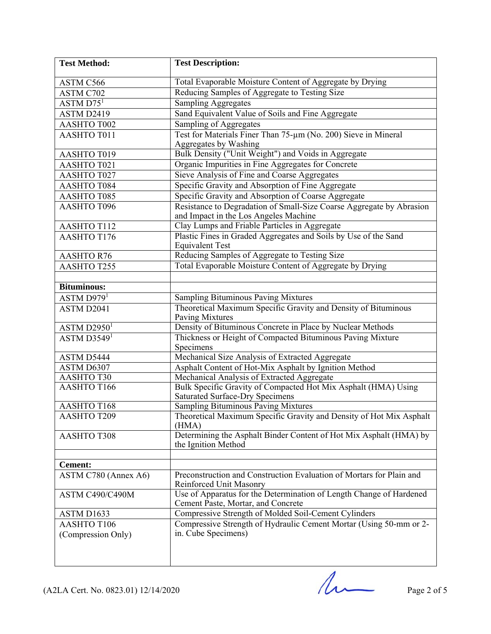| <b>Test Method:</b>                       | <b>Test Description:</b>                                                                       |
|-------------------------------------------|------------------------------------------------------------------------------------------------|
| ASTM C566                                 | Total Evaporable Moisture Content of Aggregate by Drying                                       |
| ASTM C702                                 | Reducing Samples of Aggregate to Testing Size                                                  |
| $\overline{\text{ASTM}}$ D75 <sup>1</sup> | <b>Sampling Aggregates</b>                                                                     |
| ASTM D2419                                | Sand Equivalent Value of Soils and Fine Aggregate                                              |
| AASHTO T002                               | Sampling of Aggregates                                                                         |
| AASHTO T011                               | Test for Materials Finer Than 75-um (No. 200) Sieve in Mineral                                 |
|                                           | Aggregates by Washing                                                                          |
| AASHTO T019                               | Bulk Density ("Unit Weight") and Voids in Aggregate                                            |
| AASHTO T021                               | Organic Impurities in Fine Aggregates for Concrete                                             |
| AASHTO T027                               | Sieve Analysis of Fine and Coarse Aggregates                                                   |
| <b>AASHTO T084</b>                        | Specific Gravity and Absorption of Fine Aggregate                                              |
| AASHTO T085                               | Specific Gravity and Absorption of Coarse Aggregate                                            |
| AASHTO T096                               | Resistance to Degradation of Small-Size Coarse Aggregate by Abrasion                           |
|                                           | and Impact in the Los Angeles Machine                                                          |
| <b>AASHTO T112</b>                        | Clay Lumps and Friable Particles in Aggregate                                                  |
| AASHTO T176                               | Plastic Fines in Graded Aggregates and Soils by Use of the Sand                                |
|                                           | <b>Equivalent Test</b>                                                                         |
| <b>AASHTO R76</b>                         | Reducing Samples of Aggregate to Testing Size                                                  |
| AASHTO T255                               | Total Evaporable Moisture Content of Aggregate by Drying                                       |
|                                           |                                                                                                |
| <b>Bituminous:</b>                        |                                                                                                |
| ASTM D979 <sup>1</sup>                    | <b>Sampling Bituminous Paving Mixtures</b>                                                     |
| ASTM D2041                                | Theoretical Maximum Specific Gravity and Density of Bituminous                                 |
|                                           | Paving Mixtures                                                                                |
| ASTM D2950 <sup>1</sup>                   | Density of Bituminous Concrete in Place by Nuclear Methods                                     |
| ASTM D3549 <sup>1</sup>                   | Thickness or Height of Compacted Bituminous Paving Mixture                                     |
|                                           | Specimens                                                                                      |
| ASTM D5444                                | Mechanical Size Analysis of Extracted Aggregate                                                |
| ASTM D6307                                | Asphalt Content of Hot-Mix Asphalt by Ignition Method                                          |
| AASHTOT30                                 | Mechanical Analysis of Extracted Aggregate                                                     |
| AASHTO T166                               | Bulk Specific Gravity of Compacted Hot Mix Asphalt (HMA) Using                                 |
|                                           | Saturated Surface-Dry Specimens                                                                |
| <b>AASHTO T168</b>                        | <b>Sampling Bituminous Paving Mixtures</b>                                                     |
| AASHTO T209                               | Theoretical Maximum Specific Gravity and Density of Hot Mix Asphalt                            |
|                                           | (HMA)                                                                                          |
| <b>AASHTO T308</b>                        | Determining the Asphalt Binder Content of Hot Mix Asphalt (HMA) by                             |
|                                           | the Ignition Method                                                                            |
|                                           |                                                                                                |
| <b>Cement:</b>                            | Preconstruction and Construction Evaluation of Mortars for Plain and                           |
| ASTM C780 (Annex A6)                      |                                                                                                |
| ASTM C490/C490M                           | Reinforced Unit Masonry<br>Use of Apparatus for the Determination of Length Change of Hardened |
|                                           | Cement Paste, Mortar, and Concrete                                                             |
| ASTM D1633                                | Compressive Strength of Molded Soil-Cement Cylinders                                           |
| AASHTO T106                               | Compressive Strength of Hydraulic Cement Mortar (Using 50-mm or 2-                             |
| (Compression Only)                        | in. Cube Specimens)                                                                            |
|                                           |                                                                                                |
|                                           |                                                                                                |
|                                           |                                                                                                |

 $($ A2LA Cert. No. 0823.01) 12/14/2020 Page 2 of 5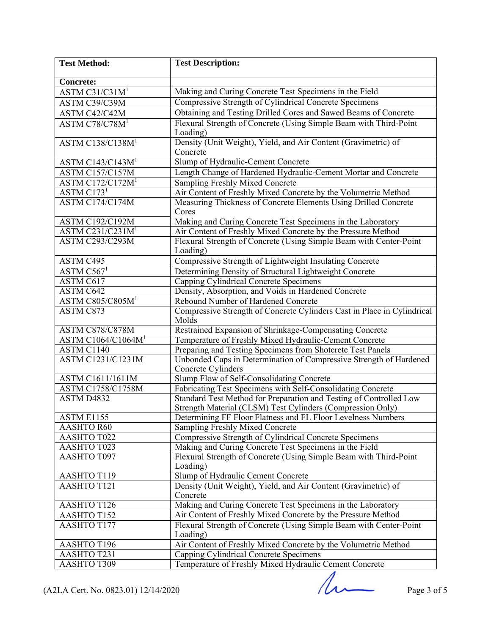| <b>Test Method:</b>             | <b>Test Description:</b>                                                                 |
|---------------------------------|------------------------------------------------------------------------------------------|
|                                 |                                                                                          |
| <b>Concrete:</b>                |                                                                                          |
| ASTM C31/C31M <sup>1</sup>      | Making and Curing Concrete Test Specimens in the Field                                   |
| ASTM C39/C39M                   | Compressive Strength of Cylindrical Concrete Specimens                                   |
| ASTM C42/C42M                   | Obtaining and Testing Drilled Cores and Sawed Beams of Concrete                          |
| ASTM C78/C78M <sup>1</sup>      | Flexural Strength of Concrete (Using Simple Beam with Third-Point<br>Loading)            |
| ASTM C138/C138M <sup>1</sup>    | Density (Unit Weight), Yield, and Air Content (Gravimetric) of<br>Concrete               |
| ASTM C143/C143M <sup>1</sup>    | Slump of Hydraulic-Cement Concrete                                                       |
| ASTM C157/C157M                 | Length Change of Hardened Hydraulic-Cement Mortar and Concrete                           |
| ASTM C172/C172M <sup>1</sup>    | Sampling Freshly Mixed Concrete                                                          |
| $\overline{\text{ASTM C173}^1}$ | Air Content of Freshly Mixed Concrete by the Volumetric Method                           |
| ASTM C174/C174M                 | Measuring Thickness of Concrete Elements Using Drilled Concrete                          |
|                                 | Cores                                                                                    |
| <b>ASTM C192/C192M</b>          | Making and Curing Concrete Test Specimens in the Laboratory                              |
| ASTM C231/C231M <sup>1</sup>    | Air Content of Freshly Mixed Concrete by the Pressure Method                             |
| <b>ASTM C293/C293M</b>          | Flexural Strength of Concrete (Using Simple Beam with Center-Point<br>Loading)           |
| ASTM C495                       | Compressive Strength of Lightweight Insulating Concrete                                  |
| ASTM $C5671$                    | Determining Density of Structural Lightweight Concrete                                   |
| ASTM C617                       | Capping Cylindrical Concrete Specimens                                                   |
| ASTM <sub>C642</sub>            | Density, Absorption, and Voids in Hardened Concrete                                      |
| ASTM C805/C805M <sup>1</sup>    | Rebound Number of Hardened Concrete                                                      |
| ASTM C873                       | Compressive Strength of Concrete Cylinders Cast in Place in Cylindrical<br>Molds         |
| ASTM C878/C878M                 | Restrained Expansion of Shrinkage-Compensating Concrete                                  |
| ASTM C1064/C1064M <sup>1</sup>  | Temperature of Freshly Mixed Hydraulic-Cement Concrete                                   |
| ASTM C1140                      | Preparing and Testing Specimens from Shotcrete Test Panels                               |
| <b>ASTM C1231/C1231M</b>        | Unbonded Caps in Determination of Compressive Strength of Hardened<br>Concrete Cylinders |
| <b>ASTM C1611/1611M</b>         | Slump Flow of Self-Consolidating Concrete                                                |
| ASTM C1758/C1758M               | Fabricating Test Specimens with Self-Consolidating Concrete                              |
| ASTM D4832                      | Standard Test Method for Preparation and Testing of Controlled Low                       |
|                                 | Strength Material (CLSM) Test Cylinders (Compression Only)                               |
| <b>ASTM E1155</b>               | Determining FF Floor Flatness and FL Floor Levelness Numbers                             |
| <b>AASHTO R60</b>               | <b>Sampling Freshly Mixed Concrete</b>                                                   |
| <b>AASHTO T022</b>              | Compressive Strength of Cylindrical Concrete Specimens                                   |
| AASHTO T023                     | Making and Curing Concrete Test Specimens in the Field                                   |
| AASHTO T097                     | Flexural Strength of Concrete (Using Simple Beam with Third-Point<br>Loading)            |
| AASHTO T119                     | Slump of Hydraulic Cement Concrete                                                       |
| <b>AASHTO T121</b>              | Density (Unit Weight), Yield, and Air Content (Gravimetric) of<br>Concrete               |
| AASHTO T126                     | Making and Curing Concrete Test Specimens in the Laboratory                              |
| <b>AASHTO T152</b>              | Air Content of Freshly Mixed Concrete by the Pressure Method                             |
| <b>AASHTO T177</b>              | Flexural Strength of Concrete (Using Simple Beam with Center-Point<br>Loading)           |
| AASHTO T196                     | Air Content of Freshly Mixed Concrete by the Volumetric Method                           |
| <b>AASHTO T231</b>              | Capping Cylindrical Concrete Specimens                                                   |
| AASHTO T309                     | Temperature of Freshly Mixed Hydraulic Cement Concrete                                   |

Page 3 of 5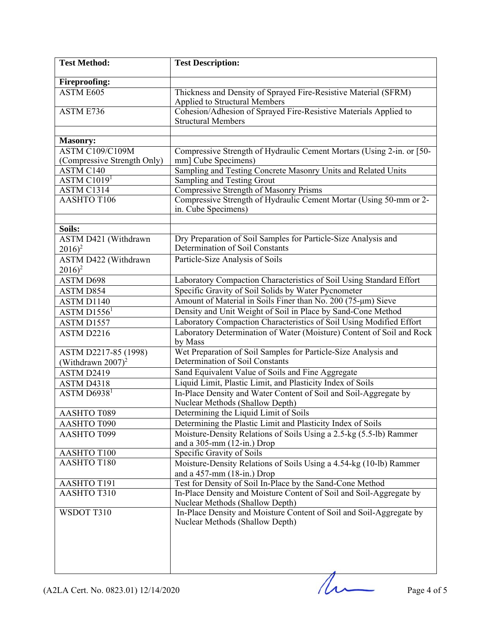| <b>Test Method:</b>                      | <b>Test Description:</b>                                                                               |
|------------------------------------------|--------------------------------------------------------------------------------------------------------|
| <b>Fireproofing:</b>                     |                                                                                                        |
| ASTM E605                                | Thickness and Density of Sprayed Fire-Resistive Material (SFRM)<br>Applied to Structural Members       |
| ASTM E736                                | Cohesion/Adhesion of Sprayed Fire-Resistive Materials Applied to                                       |
|                                          | <b>Structural Members</b>                                                                              |
| <b>Masonry:</b>                          |                                                                                                        |
| <b>ASTM C109/C109M</b>                   | Compressive Strength of Hydraulic Cement Mortars (Using 2-in. or [50-                                  |
| (Compressive Strength Only)              | mm] Cube Specimens)                                                                                    |
| ASTM <sub>C140</sub>                     | Sampling and Testing Concrete Masonry Units and Related Units                                          |
| $\overline{\text{ASTM } \text{C}1019^1}$ | Sampling and Testing Grout                                                                             |
| ASTM C1314                               | <b>Compressive Strength of Masonry Prisms</b>                                                          |
| AASHTO T106                              | Compressive Strength of Hydraulic Cement Mortar (Using 50-mm or 2-<br>in. Cube Specimens)              |
|                                          |                                                                                                        |
| Soils:                                   |                                                                                                        |
| ASTM D421 (Withdrawn<br>$2016)^2$        | Dry Preparation of Soil Samples for Particle-Size Analysis and<br>Determination of Soil Constants      |
| ASTM D422 (Withdrawn<br>$2016)^2$        | Particle-Size Analysis of Soils                                                                        |
| <b>ASTM D698</b>                         | Laboratory Compaction Characteristics of Soil Using Standard Effort                                    |
| ASTM D854                                | Specific Gravity of Soil Solids by Water Pycnometer                                                    |
| ASTM D1140                               | Amount of Material in Soils Finer than No. 200 (75-µm) Sieve                                           |
| ASTM D1556 <sup>1</sup>                  | Density and Unit Weight of Soil in Place by Sand-Cone Method                                           |
| ASTM D1557                               | Laboratory Compaction Characteristics of Soil Using Modified Effort                                    |
| ASTM D2216                               | Laboratory Determination of Water (Moisture) Content of Soil and Rock<br>by Mass                       |
| ASTM D2217-85 (1998)                     | Wet Preparation of Soil Samples for Particle-Size Analysis and                                         |
| (Withdrawn $2007$ ) <sup>2</sup>         | Determination of Soil Constants                                                                        |
| ASTM D2419                               | Sand Equivalent Value of Soils and Fine Aggregate                                                      |
| ASTM D4318                               | Liquid Limit, Plastic Limit, and Plasticity Index of Soils                                             |
| $\overline{\text{ASTM D6938}^1}$         | In-Place Density and Water Content of Soil and Soil-Aggregate by<br>Nuclear Methods (Shallow Depth)    |
| AASHTO T089                              | Determining the Liquid Limit of Soils                                                                  |
| AASHTO T090                              | Determining the Plastic Limit and Plasticity Index of Soils                                            |
| AASHTO T099                              | Moisture-Density Relations of Soils Using a 2.5-kg (5.5-lb) Rammer<br>and a 305-mm (12-in.) Drop       |
| AASHTO T100                              | Specific Gravity of Soils                                                                              |
| AASHTO T180                              | Moisture-Density Relations of Soils Using a 4.54-kg (10-lb) Rammer<br>and a 457-mm (18-in.) Drop       |
| AASHTO T191                              | Test for Density of Soil In-Place by the Sand-Cone Method                                              |
| AASHTO T310                              | In-Place Density and Moisture Content of Soil and Soil-Aggregate by<br>Nuclear Methods (Shallow Depth) |
| WSDOT T310                               | In-Place Density and Moisture Content of Soil and Soil-Aggregate by<br>Nuclear Methods (Shallow Depth) |
|                                          |                                                                                                        |
|                                          |                                                                                                        |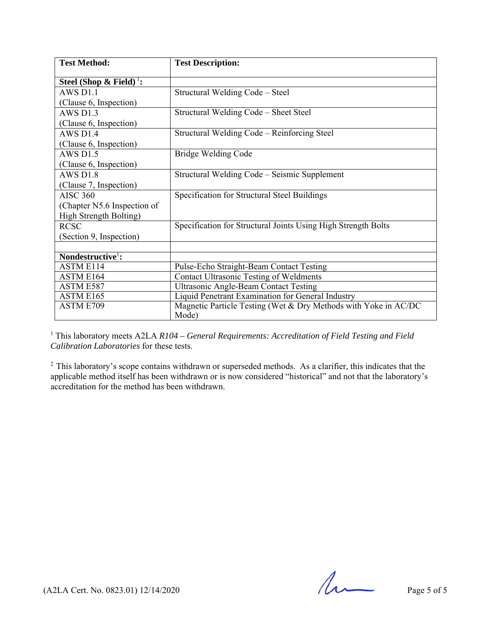| <b>Test Method:</b>                 | <b>Test Description:</b>                                                 |
|-------------------------------------|--------------------------------------------------------------------------|
| Steel (Shop & Field) <sup>1</sup> : |                                                                          |
| $AWS$ D <sub>1</sub> .1             | Structural Welding Code - Steel                                          |
| (Clause 6, Inspection)              |                                                                          |
| $AWS$ D <sub>1.3</sub>              | Structural Welding Code - Sheet Steel                                    |
| (Clause 6, Inspection)              |                                                                          |
| AWS D1.4                            | Structural Welding Code - Reinforcing Steel                              |
| (Clause 6, Inspection)              |                                                                          |
| <b>AWS D1.5</b>                     | Bridge Welding Code                                                      |
| (Clause 6, Inspection)              |                                                                          |
| AWS D <sub>1.8</sub>                | Structural Welding Code – Seismic Supplement                             |
| (Clause 7, Inspection)              |                                                                          |
| <b>AISC 360</b>                     | Specification for Structural Steel Buildings                             |
| (Chapter N5.6 Inspection of         |                                                                          |
| High Strength Bolting)              |                                                                          |
| <b>RCSC</b>                         | Specification for Structural Joints Using High Strength Bolts            |
| (Section 9, Inspection)             |                                                                          |
|                                     |                                                                          |
| Nondestructive <sup>1</sup> :       |                                                                          |
| ASTM E114                           | Pulse-Echo Straight-Beam Contact Testing                                 |
| ASTM E164                           | <b>Contact Ultrasonic Testing of Weldments</b>                           |
| ASTM E587                           | <b>Ultrasonic Angle-Beam Contact Testing</b>                             |
| ASTM E165                           | Liquid Penetrant Examination for General Industry                        |
| ASTM E709                           | Magnetic Particle Testing (Wet & Dry Methods with Yoke in AC/DC<br>Mode) |

<sup>1</sup> This laboratory meets A2LA *R104 – General Requirements: Accreditation of Field Testing and Field Calibration Laboratories* for these tests.

 $2$  This laboratory's scope contains withdrawn or superseded methods. As a clarifier, this indicates that the applicable method itself has been withdrawn or is now considered "historical" and not that the laboratory's accreditation for the method has been withdrawn.

 $(42LA$  Cert. No. 0823.01) 12/14/2020 Page 5 of 5